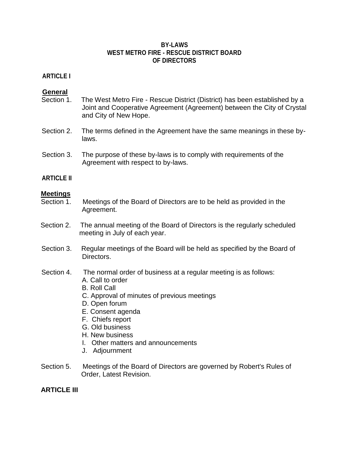#### **BY-LAWS WEST METRO FIRE - RESCUE DISTRICT BOARD OF DIRECTORS**

### **ARTICLE I**

#### **General**

- Section 1. The West Metro Fire Rescue District (District) has been established by a Joint and Cooperative Agreement (Agreement) between the City of Crystal and City of New Hope.
- Section 2. The terms defined in the Agreement have the same meanings in these bylaws.
- Section 3. The purpose of these by-laws is to comply with requirements of the Agreement with respect to by-laws.

#### **ARTICLE II**

#### **Meetings**

- Section 1. Meetings of the Board of Directors are to be held as provided in the Agreement.
- Section 2. The annual meeting of the Board of Directors is the regularly scheduled meeting in July of each year.
- Section 3. Regular meetings of the Board will be held as specified by the Board of Directors.
- Section 4. The normal order of business at a regular meeting is as follows:
	- A. Call to order
	- B. Roll Call
	- C. Approval of minutes of previous meetings
	- D. Open forum
	- E. Consent agenda
	- F. Chiefs report
	- G. Old business
	- H. New business
	- I. Other matters and announcements
	- J. Adjournment
- Section 5. Meetings of the Board of Directors are governed by Robert's Rules of Order, Latest Revision.

#### **ARTICLE III**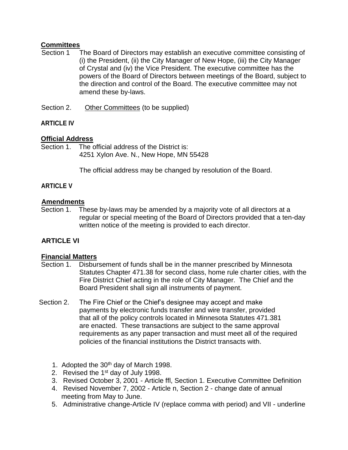## **Committees**

- Section 1 The Board of Directors may establish an executive committee consisting of (i) the President, (ii) the City Manager of New Hope, (iii) the City Manager of Crystal and (iv) the Vice President. The executive committee has the powers of the Board of Directors between meetings of the Board, subject to the direction and control of the Board. The executive committee may not amend these by-laws.
- Section 2. Other Committees (to be supplied)

# **ARTICLE IV**

# **Official Address**

Section 1. The official address of the District is: 4251 Xylon Ave. N., New Hope, MN 55428

The official address may be changed by resolution of the Board.

# **ARTICLE V**

## **Amendments**

Section 1. These by-laws may be amended by a majority vote of all directors at a regular or special meeting of the Board of Directors provided that a ten-day written notice of the meeting is provided to each director.

# **ARTICLE VI**

## **Financial Matters**

- Section 1. Disbursement of funds shall be in the manner prescribed by Minnesota Statutes Chapter 471.38 for second class, home rule charter cities, with the Fire District Chief acting in the role of City Manager. The Chief and the Board President shall sign all instruments of payment.
- Section 2. The Fire Chief or the Chief's designee may accept and make payments by electronic funds transfer and wire transfer, provided that all of the policy controls located in Minnesota Statutes 471.381 are enacted. These transactions are subject to the same approval requirements as any paper transaction and must meet all of the required policies of the financial institutions the District transacts with.
	- 1. Adopted the 30th day of March 1998.
	- 2. Revised the 1<sup>st</sup> day of July 1998.
	- 3. Revised October 3, 2001 Article ffl, Section 1. Executive Committee Definition
	- 4. Revised November 7, 2002 Article n, Section 2 change date of annual meeting from May to June.
	- 5. Administrative change-Article IV (replace comma with period) and VII underline